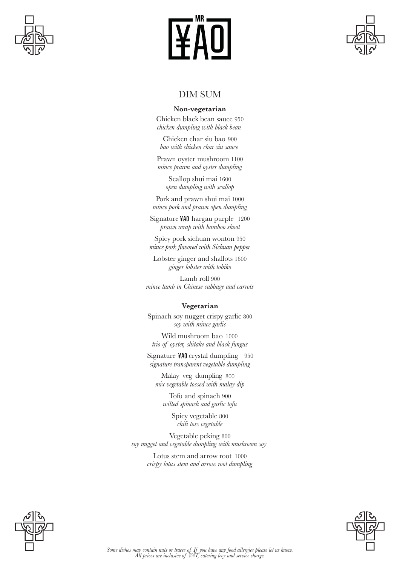





# DIM SUM

#### **Non-vegetarian**

Chicken black bean sauce 950 *chicken dumpling with black bean* 

Chicken char siu bao 900 *bao with chicken char siu sauce* 

Prawn oyster mushroom 1100 *mince prawn and oyster dumpling*

> Scallop shui mai 1600 *open dumpling with scallop*

Pork and prawn shui mai 1000 *mince pork and prawn open dumpling*

Signature ¥A0 hargau purple 1200 *prawn wrap with bamboo shoot*

Spicy pork sichuan wonton 950<br>mince pork flavored with Sichuan pepper

Lobster ginger and shallots 1600 *ginger lobster with tobiko*

Lamb roll 900 *mince lamb in Chinese cabbage and carrots*

#### **Vegetarian**

Spinach soy nugget crispy garlic 800 *soy with mince garlic*

Wild mushroom bao 1000 *trio of oyster, shitake and black fungus*

Signature ¥A0 crystal dumpling 950 *signature transparent vegetable dumpling*

Malay veg dumpling 800 *mix vegetable tossed with malay dip*

Tofu and spinach 900 *wilted spinach and garlic tofu*

> Spicy vegetable 800 *chili toss vegetable*

Vegetable peking 800 *soy nugget and vegetable dumpling with mushroom soy* 

> Lotus stem and arrow root 1000 *crispy lotus stem and arrow root dumpling*



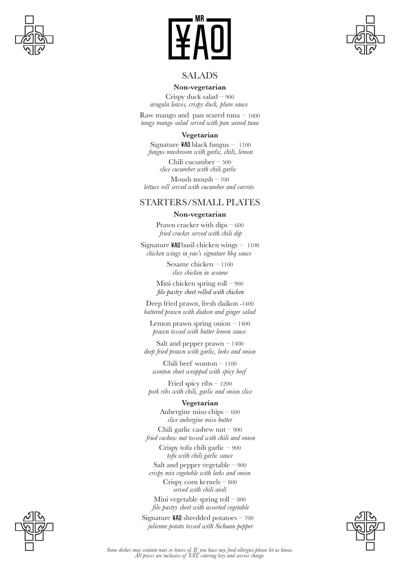





## SALADS

#### **Non-vegetarian**

Crispy duck salad – 900 *arugula leaves, crispy duck, plum sauce* 

Raw mango and pan seared tuna  $-1000$ *tangy mango salad served with pan seared tuna*

#### **Vegetarian**

Signature  $440$  black fungus – 1100 *fungus mushroom with garlic, chili, lemon*

> Chili cucumber – 500 *slice cucumber with chili garlic*

Moush moush  $-700$ *lettuce roll served with cucumber and carrots* 

## STARTERS/SMALL PLATES

#### **Non-vegetarian**

Prawn cracker with dips – 600 *fried cracker served with chili dip*

Signature  $40$  basil chicken wings – 1100 *chicken wings in yao's signature bbq sauce* 

> Sesame chicken – 1100 *slice chicken in sesame*

Mini chicken spring roll – 900<br>filo pastry sheet rolled with chicken

Deep fried prawn, fresh daikon -1400 *battered prawn with diakon and ginger salad*

Lemon prawn spring onion  $-1400$ *prawn tossed with butter lemon sauce* 

Salt and pepper prawn – 1400 *deep fried prawn with garlic, leeks and onion*

Chili beef wonton – 1100 *wonton sheet wrapped with spicy beef*

Fried spicy ribs – 1200 *pork ribs with chili, garlic and onion slice*

#### **Vegetarian**

Aubergine miso chips – 600 *slice aubergine miso butter*

Chili garlic cashew nut – 900 *fried cashew nut tossed with chili and onion*

> Crispy tofu chili garlic – 900 *tofu with chili garlic sauce*

Salt and pepper vegetable – 900 *crispy mix vegetable with leeks and onion* Crispy corn kernels – 800

*served with chili aioli*

Mini vegetable spring roll – 800 *filo pastry sheet with assorted vegetable*

Signature  $440$  shredded potatoes – 700 *julienne potato tossed with Sichuan pepper*





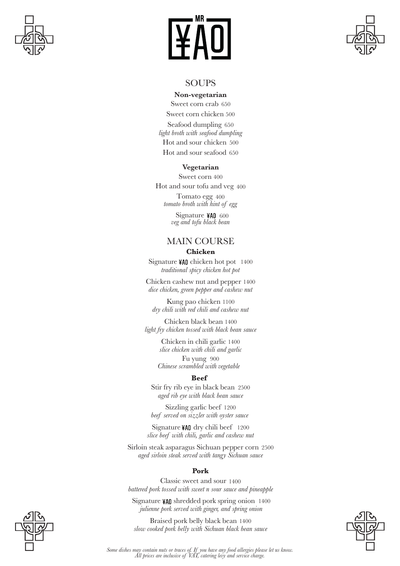





#### SOUPS

#### **Non-vegetarian**

Sweet corn crab 650 Sweet corn chicken 500 Seafood dumpling 650 *light broth with seafood dumpling* Hot and sour chicken 500 Hot and sour seafood 650

#### **Vegetarian**

Sweet corn 400 Hot and sour tofu and veg 400

Tomato egg 400 *tomato broth with hint of egg*

> Signature ¥AO 600 *veg and tofu black bean*

# MAIN COURSE **Chicken**

Signature  $40$  chicken hot pot 1400 *traditional spicy chicken hot pot*

Chicken cashew nut and pepper 1400 *dice chicken, green pepper and cashew nut*

Kung pao chicken 1100 *dry chili with red chili and cashew nut*

Chicken black bean 1400 *light fry chicken tossed with black bean sauce*

> Chicken in chili garlic 1400 *slice chicken with chili and garlic*

Fu yung 900 *Chinese scrambled with vegetable* 

#### **Beef**

Stir fry rib eye in black bean 2500 *aged rib eye with black bean sauce*

Sizzling garlic beef 1200 *beef served on sizzler with oyster sauce* 

Signature ¥A0 dry chili beef 1200 *slice beef with chili, garlic and cashew nut*

Sirloin steak asparagus Sichuan pepper corn 2500 *aged sirloin steak served with tangy Sichuan sauce*

#### **Pork**

Classic sweet and sour 1400 *battered pork tossed with sweet n sour sauce and pineapple*

Signature ¥A0 shredded pork spring onion 1400 *julienne pork served with ginger, and spring onion*

Braised pork belly black bean 1400 *slow cooked pork belly with Sichuan black bean sauce*



*Some dishes may contain nuts or traces of. If you have any food allergies please let us know. All prices are inclusive of VAT, catering levy and service charge.*

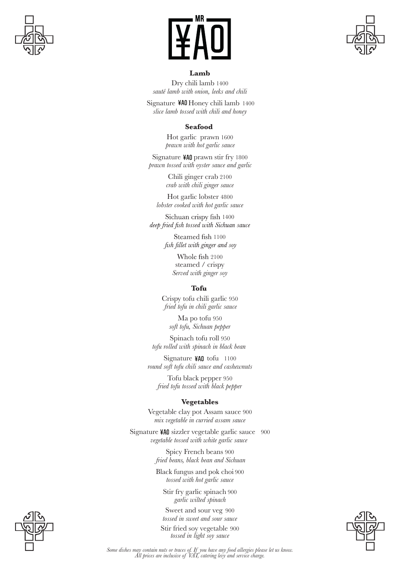



#### **Lamb**

Dry chili lamb 1400 *sauté lamb with onion, leeks and chili*

Signature ¥A0 Honey chili lamb 1400 *slice lamb tossed with chili and honey*

#### **Seafood**

Hot garlic prawn 1600 *prawn with hot garlic sauce*

Signature ¥A0 prawn stir fry 1800 *prawn tossed with oyster sauce and garlic*

> Chili ginger crab 2100 *crab with chili ginger sauce*

Hot garlic lobster 4800 *lobster cooked with hot garlic sauce*

Sichuan crispy fish 1400 deep fried fish tossed with Sichuan sauce

> Steamed fish 1100 fish fillet with ginger and soy

> > Whole fish 2100 steamed / crispy *Served with ginger soy*

#### **Tofu**

Crispy tofu chili garlic 950 *fried tofu in chili garlic sauce*

Ma po tofu 950 *soft tofu, Sichuan pepper*

Spinach tofu roll 950 *tofu rolled with spinach in black bean* 

Signature ¥AO tofu 1100 *round soft tofu chili sauce and cashewnuts*

Tofu black pepper 950 *fried tofu tossed with black pepper* 

#### **Vegetables**

Vegetable clay pot Assam sauce 900 *mix vegetable in curried assam sauce*

Signature ¥A0 sizzler vegetable garlic sauce 900 *vegetable tossed with white garlic sauce* 

> Spicy French beans 900 *fried beans, black bean and Sichuan*

Black fungus and pok choi 900 *tossed with hot garlic sauce*

Stir fry garlic spinach 900 *garlic wilted spinach*

Sweet and sour veg 900 *tossed in sweet and sour sauce*

Stir fried soy vegetable 900 *tossed in light soy sauce*





*Some dishes may contain nuts or traces of. If you have any food allergies please let us know. All prices are inclusive of VAT, catering levy and service charge.*

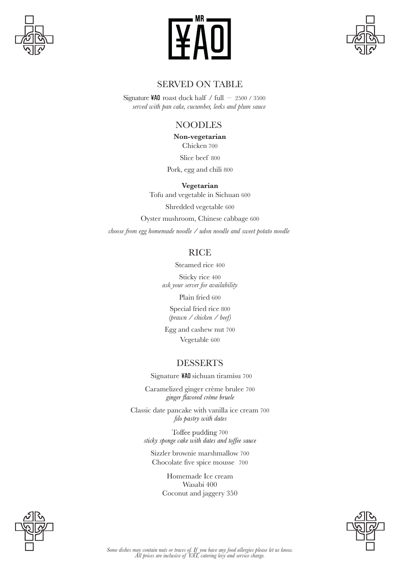





# SERVED ON TABLE

Signature  $440$  roast duck half / full – 2500 / 3500 *served with pan cake, cucumber, leeks and plum sauce* 

# NOODLES

Chicken 700 Slice beef 800 **Non-vegetarian**

Pork, egg and chili 800

Tofu and vegetable in Sichuan 600 Shredded vegetable 600 Oyster mushroom, Chinese cabbage 600 *choose from egg homemade noodle / udon noodle and sweet potato noodle*  **Vegetarian**

# **RICE**

Steamed rice 400

Sticky rice 400 *ask your server for availability*

Plain fried 600 Special fried rice 800 *(prawn / chicken / beef)*

Egg and cashew nut 700 Vegetable 600

# DESSERTS

Signature ¥A0 sichuan tiramisu 700

Caramelized ginger crème brulee 700 ginger flavored crème bruele

Classic date pancake with vanilla ice cream 700 filo pastry with dates

Toffee pudding 700 sticky sponge cake with dates and toffee sauce

Sizzler brownie marshmallow 700 Chocolate five spice mousse 700

> Homemade Ice cream Wasabi 400 Coconut and jaggery 350



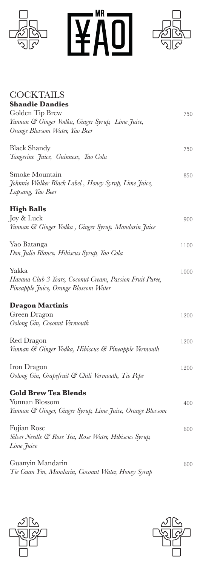

WAO **READ** 



| <b>COCKTAILS</b>                                          |      |
|-----------------------------------------------------------|------|
| <b>Shandie Dandies</b>                                    |      |
| Golden Tip Brew                                           | 750  |
| Yunnan & Ginger Vodka, Ginger Syrup, Lime Juice,          |      |
| Orange Blossom Water, Yao Beer                            |      |
| <b>Black Shandy</b>                                       | 750  |
| Tangerine Juice, Guinness, Yao Cola                       |      |
| Smoke Mountain                                            | 850  |
| Johnnie Walker Black Label, Honey Syrup, Lime Juice,      |      |
| Lapsang, Yao Beer                                         |      |
| <b>High Balls</b>                                         |      |
| Joy & Luck                                                | 900  |
| Yunnan & Ginger Vodka, Ginger Syrup, Mandarin Juice       |      |
| Yao Batanga                                               | 1100 |
| Don Julio Blanco, Hibiscus Syrup, Yao Cola                |      |
| Yakka                                                     | 1000 |
| Havana Club 3 Years, Coconut Cream, Passion Fruit Puree,  |      |
| Pineapple Juice, Orange Blossom Water                     |      |
| <b>Dragon Martinis</b>                                    |      |
| Green Dragon                                              | 1200 |
| Oolong Gin, Coconut Vermouth                              |      |
| Red Dragon                                                | 1200 |
| Yunnan & Ginger Vodka, Hibiscus & Pineapple Vermouth      |      |
| Iron Dragon                                               | 1200 |
| Oolong Gin, Grapefruit & Chili Vermouth, Tio Pepe         |      |
| <b>Cold Brew Tea Blends</b>                               |      |
| Yunnan Blossom                                            | 400  |
| Yunnan & Ginger, Ginger Syrup, Lime Juice, Orange Blossom |      |
| Fujian Rose                                               | 600  |
| Silver Needle & Rose Tea, Rose Water, Hibiscus Syrup,     |      |
| Lime Juice                                                |      |
| Guanyin Mandarin                                          | 600  |
| Tie Guan Yin, Mandarin, Coconut Water, Honey Syrup        |      |



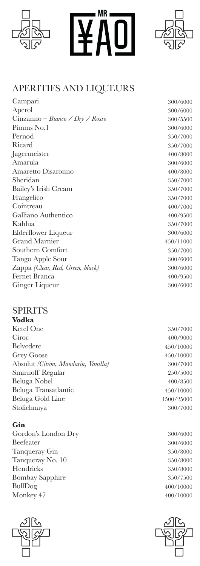

# $\overline{\mathsf{MR}}$



300/6000 300/6000 300/5500 300/6000 350/7000 350/7000 400/8000 300/6000 400/8000 350/7000 350/7000 350/7000 400/7000 400/9500 350/7000 300/6000 450/11000 350/7000 300/6000 300/6000 400/9500 300/6000

# APERITIFS AND LIQUEURS

| Campari                          |
|----------------------------------|
| Aperol                           |
| Cinzanno – Bianco / Dry / Rosso  |
| Pimms No.1                       |
| Pernod                           |
| Ricard                           |
| Jagermeister                     |
| Amarula                          |
| Amaretto Disaronno               |
| Sheridan                         |
| Bailey's Irish Cream             |
| Frangelico                       |
| Cointreau                        |
| Galliano Authentico              |
| Kahlua                           |
| Elderflower Liqueur              |
| <b>Grand Marnier</b>             |
| Southern Comfort                 |
| Tango Apple Sour                 |
| Zappa (Clear, Red, Green, black) |
| Fernet Branca                    |
| Ginger Liqueur                   |
|                                  |

# SPIRITS

| Vodka                               |            |
|-------------------------------------|------------|
| Ketel One                           | 350/7000   |
| Ciroc                               | 400/9000   |
| Belvedere                           | 450/10000  |
| <b>Grey Goose</b>                   | 450/10000  |
| Absolut (Citron, Mandarin, Vanilla) | 300/7000   |
| Smirnoff Regular                    | 250/5000   |
| Beluga Nobel                        | 400/8500   |
| Beluga Transatlantic                | 450/10000  |
| Beluga Gold Line                    | 1500/25000 |
| Stolichnaya                         | 300/7000   |
|                                     |            |

# **Gin**

Gordon's London Dry Beefeater Tanqueray Gin Tanqueray No. 10 Hendricks Bombay Sapphire BullDog Monkey 47





300/6000 300/6000 350/8000 350/8000 350/8000 350/7500 400/10000 400/10000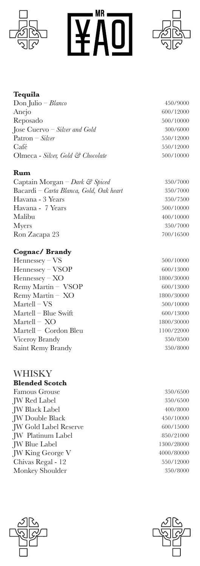





# **Tequila**

Don Julio – *Blanco* Anejo Reposado Jose Cuervo – *Silver and Gold* Patron – *Silver* Café Olmeca - *Silver, Gold & Chocolate*

### **Rum**

Captain Morgan – *Dark & Spiced* Bacardi – *Carta Blanca, Gold, Oak heart* Havana - 3 Years Havana - 7 Years Malibu Myers Ron Zacapa 23

# **Cognac/ Brandy**

Hennessey – VS Hennessey – VSOP Hennessey – XO Remy Martin – VSOP Remy Martin – XO Martell – VS Martell – Blue Swift Martell – XO Martell – Cordon Bleu Viceroy Brandy Saint Remy Brandy

#### WHISKY **Blended Scotch**

Famous Grouse JW Red Label JW Black Label JW Double Black JW Gold Label Reserve JW Platinum Label JW Blue Label JW King George V Chivas Regal - 12 Monkey Shoulder



350/7000 350/7000 350/7500 500/10000 400/10000 350/7000 700/16500

500/10000 600/13000 1800/30000 600/13000 1800/30000 500/10000 600/13000 1800/30000 1100/22000 350/8500 350/8000

350/6500 350/6500 400/8000 450/10000 600/15000 850/21000 1300/28000 4000/80000 550/12000 350/8000



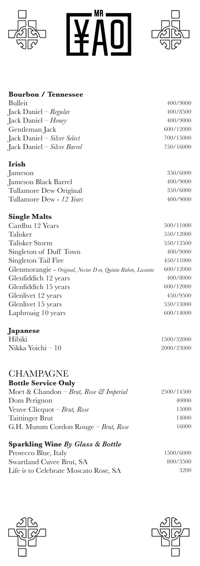

# **Bourbon / Tennessee**

Bulleit Jack Daniel – *Regular* Jack Daniel – *Honey* Gentleman Jack Jack Daniel – *Silver Select* Jack Daniel – *Silver Barrel*

# **Irish**

Jameson Jameson Black Barrel Tullamore Dew Original Tullamore Dew - *12 Years*

# **Single Malts**

Cardhu 12 Years Talisker Talisker Storm Singleton of Duff Town Singleton Tail Fire Glenmorangie - *Original, Nectar D or, Quinta Ruben, Lasanta* Glenfiddich 12 years Glenfiddich 15 years Glenlivet 12 years Glenlivet 15 years Laphroaig 10 years

# **Japanese**

Hibiki Nikka Yoichi – 10

#### **CHAMPAGNE Bottle Service Only**

| DOUTE SELVICE OIIIT                    |            |
|----------------------------------------|------------|
| Moet & Chandon – Brut, Rose & Imperial | 2500/14500 |
| Dom Perignon                           | 40000      |
| Veuve Clicquot – Brut, Rose            | 15000      |
| <b>Taittinger Brut</b>                 | 14000      |
| G.H. Mumm Cordon Rouge – Brut, Rose    | 16000      |

# **Sparkling Wine** *By Glass & Bottle*

| Prosecco Blue, Italy                  | 1500/6000 |
|---------------------------------------|-----------|
| Swartland Cuvee Brut, SA              | 800/3500  |
| Life is to Celebrate Moscato Rose, SA | 3200      |





400/9000 400/8500 400/9000 600/12000 700/15000 750/16000

> 350/6000 400/9000 350/6000 400/9000

500/11000 550/12000 550/13500 400/9000 450/11000 600/12000 400/8000 600/12000 450/9500 550/13000 600/14000

1500/32000 2000/23000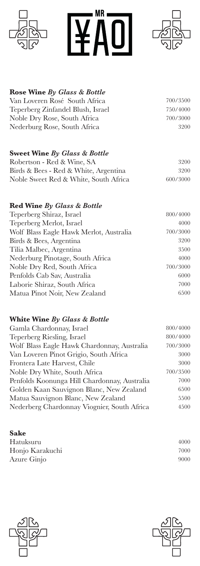





#### **Rose Wine** *By Glass & Bottle* Van Loveren Rosé South Africa Teperberg Zinfandel Blush, Israel Noble Dry Rose, South Africa Nederburg Rose, South Africa 700/3500 750/4000 700/3000 3200

# **Sweet Wine** *By Glass & Bottle*

| Robertson - Red & Wine, SA            | 3200     |
|---------------------------------------|----------|
| Birds & Bees - Red & White, Argentina | 3200     |
| Noble Sweet Red & White, South Africa | 600/3000 |

# **Red Wine** *By Glass & Bottle*

| 800/4000 |
|----------|
| 4000     |
| 700/3000 |
| 3200     |
| 3500     |
| 4000     |
| 700/3000 |
| 6000     |
| 7000     |
| 6500     |
|          |

# **White Wine** *By Glass & Bottle*

| Gamla Chardonnay, Israel                     | 800/4000 |
|----------------------------------------------|----------|
| Teperberg Riesling, Israel                   | 800/4000 |
| Wolf Blass Eagle Hawk Chardonnay, Australia  | 700/3000 |
| Van Loveren Pinot Grigio, South Africa       | 3000     |
| Frontera Late Harvest, Chile                 | 3000     |
| Noble Dry White, South Africa                | 700/3500 |
| Penfolds Koonunga Hill Chardonnay, Australia | 7000     |
| Golden Kaan Sauvignon Blanc, New Zealand     | 6500     |
| Matua Sauvignon Blanc, New Zealand           | 5500     |
| Nederberg Chardonnay Viognier, South Africa  | 4500     |
|                                              |          |

#### **Sake**

Hatuksuru Honjo Karakuchi Azure Ginjo





4000 7000 9000